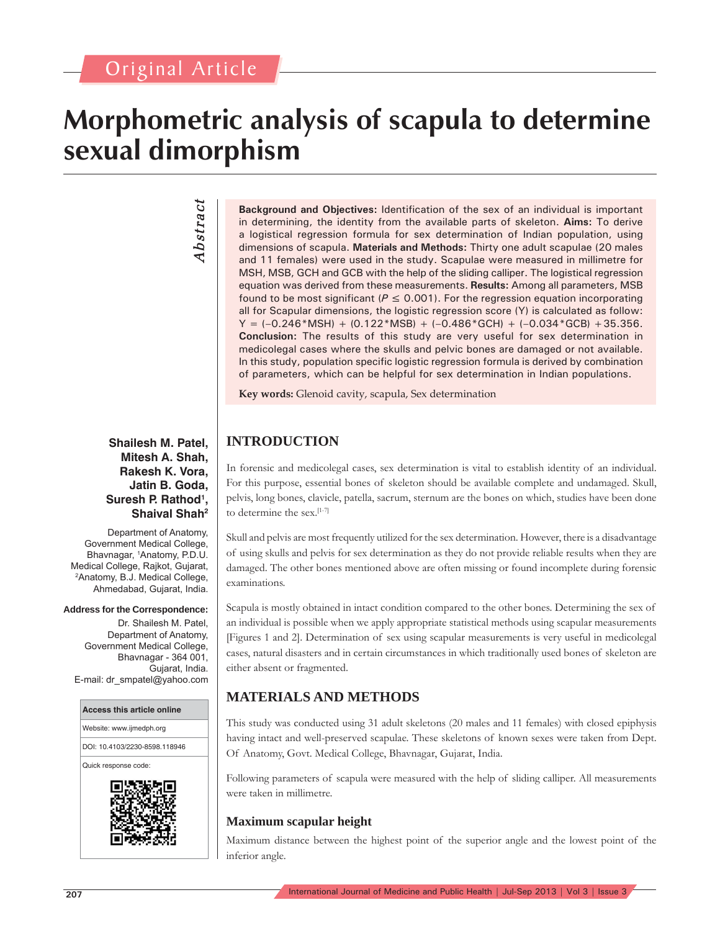# Original Article

# **Morphometric analysis of scapula to determine sexual dimorphism**

# *Abstract* Abstract

**Shailesh M. Patel, Mitesh A. Shah, Rakesh K. Vora, Jatin B. Goda, Suresh P. Rathod1 , Shaival Shah2**

Department of Anatomy, Government Medical College, Bhavnagar, 1 Anatomy, P.D.U. Medical College, Rajkot, Gujarat, 2 Anatomy, B.J. Medical College, Ahmedabad, Gujarat, India.

#### **Address for the Correspondence:**

Dr. Shailesh M. Patel, Department of Anatomy, Government Medical College, Bhavnagar - 364 001, Gujarat, India. E-mail: dr\_smpatel@yahoo.com



**Background and Objectives:** Identification of the sex of an individual is important in determining, the identity from the available parts of skeleton. **Aims:** To derive a logistical regression formula for sex determination of Indian population, using dimensions of scapula. **Materials and Methods:** Thirty one adult scapulae (20 males and 11 females) were used in the study. Scapulae were measured in millimetre for MSH, MSB, GCH and GCB with the help of the sliding calliper. The logistical regression equation was derived from these measurements. **Results:** Among all parameters, MSB found to be most significant ( $P \le 0.001$ ). For the regression equation incorporating all for Scapular dimensions, the logistic regression score (Y) is calculated as follow:  $Y = (-0.246*MSH) + (0.122*MSB) + (-0.486*GCH) + (-0.034*GCB) + 35.356.$ **Conclusion:** The results of this study are very useful for sex determination in medicolegal cases where the skulls and pelvic bones are damaged or not available. In this study, population specific logistic regression formula is derived by combination of parameters, which can be helpful for sex determination in Indian populations.

**Key words:** Glenoid cavity, scapula, Sex determination

# **INTRODUCTION**

In forensic and medicolegal cases, sex determination is vital to establish identity of an individual. For this purpose, essential bones of skeleton should be available complete and undamaged. Skull, pelvis, long bones, clavicle, patella, sacrum, sternum are the bones on which, studies have been done to determine the sex.[1-7]

Skull and pelvis are most frequently utilized for the sex determination. However, there is a disadvantage of using skulls and pelvis for sex determination as they do not provide reliable results when they are damaged. The other bones mentioned above are often missing or found incomplete during forensic examinations.

Scapula is mostly obtained in intact condition compared to the other bones. Determining the sex of an individual is possible when we apply appropriate statistical methods using scapular measurements [Figures 1 and 2]. Determination of sex using scapular measurements is very useful in medicolegal cases, natural disasters and in certain circumstances in which traditionally used bones of skeleton are either absent or fragmented.

# **MATERIALS AND METHODS**

This study was conducted using 31 adult skeletons (20 males and 11 females) with closed epiphysis having intact and well-preserved scapulae. These skeletons of known sexes were taken from Dept. Of Anatomy, Govt. Medical College, Bhavnagar, Gujarat, India.

Following parameters of scapula were measured with the help of sliding calliper. All measurements were taken in millimetre.

#### **Maximum scapular height**

Maximum distance between the highest point of the superior angle and the lowest point of the inferior angle.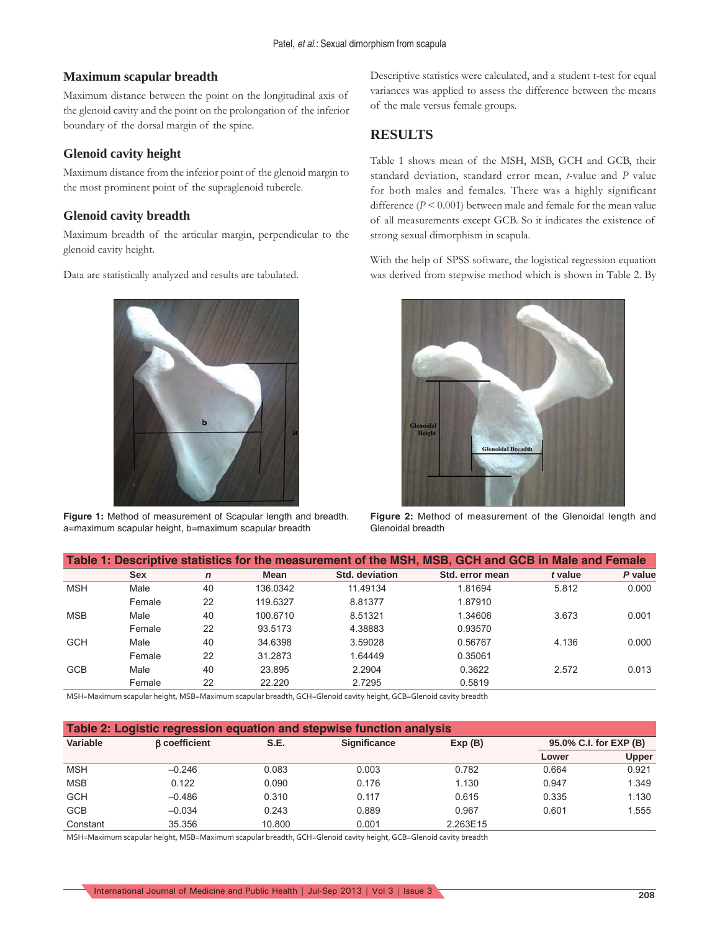#### **Maximum scapular breadth**

Maximum distance between the point on the longitudinal axis of the glenoid cavity and the point on the prolongation of the inferior boundary of the dorsal margin of the spine.

#### **Glenoid cavity height**

Maximum distance from the inferior point of the glenoid margin to the most prominent point of the supraglenoid tubercle.

#### **Glenoid cavity breadth**

Maximum breadth of the articular margin, perpendicular to the glenoid cavity height.

Data are statistically analyzed and results are tabulated.



**Figure 1:** Method of measurement of Scapular length and breadth. a=maximum scapular height, b=maximum scapular breadth

Descriptive statistics were calculated, and a student t-test for equal variances was applied to assess the difference between the means of the male versus female groups.

# **RESULTS**

Table 1 shows mean of the MSH, MSB, GCH and GCB, their standard deviation, standard error mean, *t*-value and *P* value for both males and females. There was a highly significant difference (*P* < 0.001) between male and female for the mean value of all measurements except GCB. So it indicates the existence of strong sexual dimorphism in scapula.

With the help of SPSS software, the logistical regression equation was derived from stepwise method which is shown in Table 2. By



**Figure 2:** Method of measurement of the Glenoidal length and Glenoidal breadth

| Table 1: Descriptive statistics for the measurement of the MSH, MSB, GCH and GCB in Male and Female |            |              |          |                |                 |         |         |  |  |  |
|-----------------------------------------------------------------------------------------------------|------------|--------------|----------|----------------|-----------------|---------|---------|--|--|--|
|                                                                                                     | <b>Sex</b> | $\mathsf{n}$ | Mean     | Std. deviation | Std. error mean | t value | P value |  |  |  |
| <b>MSH</b>                                                                                          | Male       | 40           | 136.0342 | 11.49134       | 1.81694         | 5.812   | 0.000   |  |  |  |
|                                                                                                     | Female     | 22           | 119.6327 | 8.81377        | 1.87910         |         |         |  |  |  |
| <b>MSB</b>                                                                                          | Male       | 40           | 100.6710 | 8.51321        | 1.34606         | 3.673   | 0.001   |  |  |  |
|                                                                                                     | Female     | 22           | 93.5173  | 4.38883        | 0.93570         |         |         |  |  |  |
| <b>GCH</b>                                                                                          | Male       | 40           | 34.6398  | 3.59028        | 0.56767         | 4.136   | 0.000   |  |  |  |
|                                                                                                     | Female     | 22           | 31.2873  | 1.64449        | 0.35061         |         |         |  |  |  |
| <b>GCB</b>                                                                                          | Male       | 40           | 23.895   | 2.2904         | 0.3622          | 2.572   | 0.013   |  |  |  |
|                                                                                                     | Female     | 22           | 22.220   | 2.7295         | 0.5819          |         |         |  |  |  |
|                                                                                                     |            |              |          |                |                 |         |         |  |  |  |

MSH=Maximum scapular height, MSB=Maximum scapular breadth, GCH=Glenoid cavity height, GCB=Glenoid cavity breadth

| Table 2: Logistic regression equation and stepwise function analysis |                      |        |                     |          |                        |              |  |  |  |  |
|----------------------------------------------------------------------|----------------------|--------|---------------------|----------|------------------------|--------------|--|--|--|--|
| Variable                                                             | <b>B</b> coefficient | S.E.   | <b>Significance</b> | Exp(B)   | 95.0% C.I. for EXP (B) |              |  |  |  |  |
|                                                                      |                      |        |                     |          | Lower                  | <b>Upper</b> |  |  |  |  |
| <b>MSH</b>                                                           | $-0.246$             | 0.083  | 0.003               | 0.782    | 0.664                  | 0.921        |  |  |  |  |
| <b>MSB</b>                                                           | 0.122                | 0.090  | 0.176               | 1.130    | 0.947                  | 1.349        |  |  |  |  |
| <b>GCH</b>                                                           | $-0.486$             | 0.310  | 0.117               | 0.615    | 0.335                  | 1.130        |  |  |  |  |
| <b>GCB</b>                                                           | $-0.034$             | 0.243  | 0.889               | 0.967    | 0.601                  | 1.555        |  |  |  |  |
| Constant                                                             | 35.356               | 10.800 | 0.001               | 2.263E15 |                        |              |  |  |  |  |

MSH=Maximum scapular height, MSB=Maximum scapular breadth, GCH=Glenoid cavity height, GCB=Glenoid cavity breadth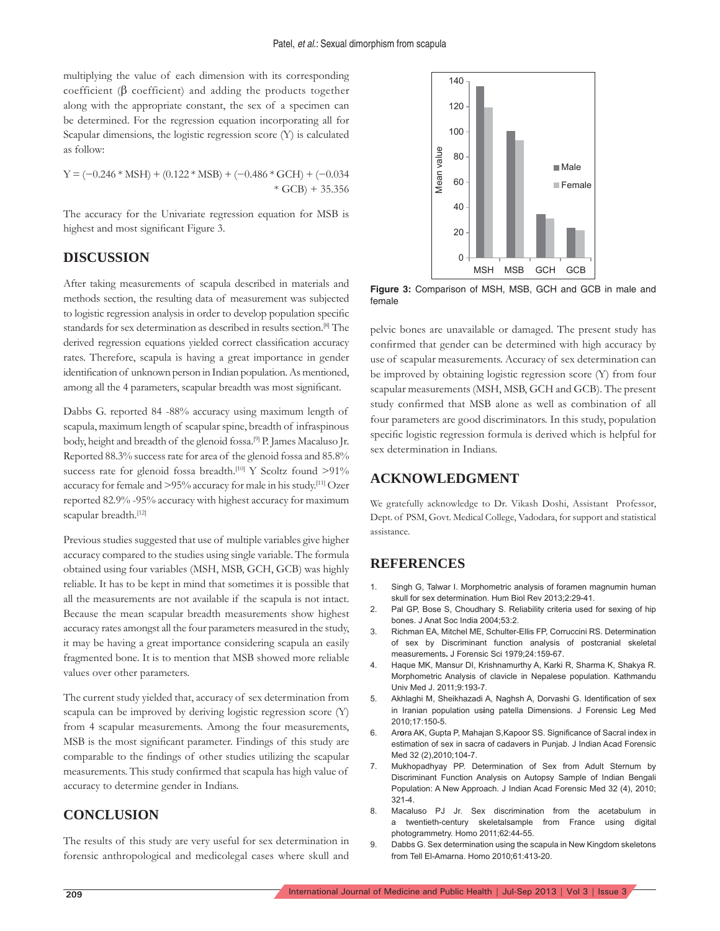multiplying the value of each dimension with its corresponding coefficient ( $\beta$  coefficient) and adding the products together along with the appropriate constant, the sex of a specimen can be determined. For the regression equation incorporating all for Scapular dimensions, the logistic regression score (Y) is calculated as follow:

 $Y = (-0.246 * MSH) + (0.122 * MSB) + (-0.486 * GCH) + (-0.034$  $* GCB + 35.356$ 

The accuracy for the Univariate regression equation for MSB is highest and most significant Figure 3.

# **DISCUSSION**

After taking measurements of scapula described in materials and methods section, the resulting data of measurement was subjected to logistic regression analysis in order to develop population specific standards for sex determination as described in results section.<sup>[8]</sup> The derived regression equations yielded correct classification accuracy rates. Therefore, scapula is having a great importance in gender identification of unknown person in Indian population. As mentioned, among all the 4 parameters, scapular breadth was most significant.

Dabbs G. reported 84 -88% accuracy using maximum length of scapula, maximum length of scapular spine, breadth of infraspinous body, height and breadth of the glenoid fossa.<sup>[9]</sup> P. James Macaluso Jr. Reported 88.3% success rate for area of the glenoid fossa and 85.8% success rate for glenoid fossa breadth.<sup>[10]</sup> Y Scoltz found >91% accuracy for female and >95% accuracy for male in his study.[11] Ozer reported 82.9% -95% accuracy with highest accuracy for maximum scapular breadth.[12]

Previous studies suggested that use of multiple variables give higher accuracy compared to the studies using single variable. The formula obtained using four variables (MSH, MSB, GCH, GCB) was highly reliable. It has to be kept in mind that sometimes it is possible that all the measurements are not available if the scapula is not intact. Because the mean scapular breadth measurements show highest accuracy rates amongst all the four parameters measured in the study, it may be having a great importance considering scapula an easily fragmented bone. It is to mention that MSB showed more reliable values over other parameters.

The current study yielded that, accuracy of sex determination from scapula can be improved by deriving logistic regression score (Y) from 4 scapular measurements. Among the four measurements, MSB is the most significant parameter. Findings of this study are comparable to the findings of other studies utilizing the scapular measurements. This study confirmed that scapula has high value of accuracy to determine gender in Indians.

### **CONCLUSION**

The results of this study are very useful for sex determination in forensic anthropological and medicolegal cases where skull and



**Figure 3:** Comparison of MSH, MSB, GCH and GCB in male and female

pelvic bones are unavailable or damaged. The present study has confirmed that gender can be determined with high accuracy by use of scapular measurements. Accuracy of sex determination can be improved by obtaining logistic regression score (Y) from four scapular measurements (MSH, MSB, GCH and GCB). The present study confirmed that MSB alone as well as combination of all four parameters are good discriminators. In this study, population specific logistic regression formula is derived which is helpful for sex determination in Indians.

# **ACKNOWLEDGMENT**

We gratefully acknowledge to Dr. Vikash Doshi, Assistant Professor, Dept. of PSM, Govt. Medical College, Vadodara, for support and statistical assistance.

#### **REFERENCES**

- 1. Singh G, Talwar I. Morphometric analysis of foramen magnumin human skull for sex determination. Hum Biol Rev 2013;2:29-41.
- 2. Pal GP, Bose S, Choudhary S. Reliability criteria used for sexing of hip bones. J Anat Soc India 2004;53:2.
- 3. Richman EA, Mitchel ME, Schulter-Ellis FP, Corruccini RS. Determination of sex by Discriminant function analysis of postcranial skeletal measurements**.** J Forensic Sci 1979;24:159-67.
- 4. Haque MK, Mansur DI, Krishnamurthy A, Karki R, Sharma K, Shakya R. Morphometric Analysis of clavicle in Nepalese population. Kathmandu Univ Med J. 2011;9:193-7.
- 5. Akhlaghi M, Sheikhazadi A, Naghsh A, Dorvashi G. Identification of sex in Iranian population us**i**ng patella Dimensions. J Forensic Leg Med 2010;17:150-5.
- 6. Arora AK, Gupta P, Mahajan S, Kapoor SS. Significance of Sacral index in estimation of sex in sacra of cadavers in Punjab. J Indian Acad Forensic Med 32 (2),2010;104-7.
- 7. Mukhopadhyay PP. Determination of Sex from Adult Sternum by Discriminant Function Analysis on Autopsy Sample of Indian Bengali Population: A New Approach. J Indian Acad Forensic Med 32 (4), 2010; 321-4.
- 8. Macaluso PJ Jr. Sex discrimination from the acetabulum in a twentieth-century skeletalsample from France using digital photogrammetry. Homo 2011;62:44-55.
- 9. Dabbs G. Sex determination using the scapula in New Kingdom skeletons from Tell El-Amarna. Homo 2010;61:413-20.